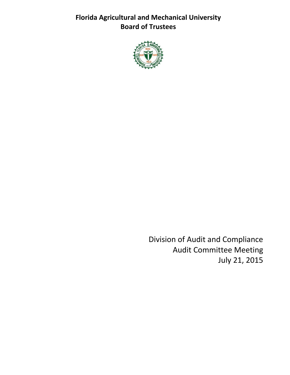**Florida Agricultural and Mechanical University Board of Trustees**



Division of Audit and Compliance Audit Committee Meeting July 21, 2015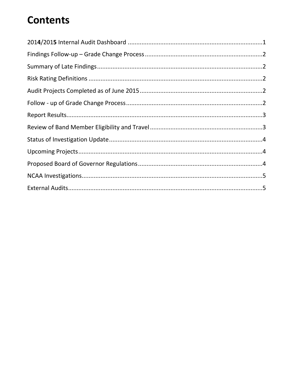# **Contents**

<span id="page-1-0"></span>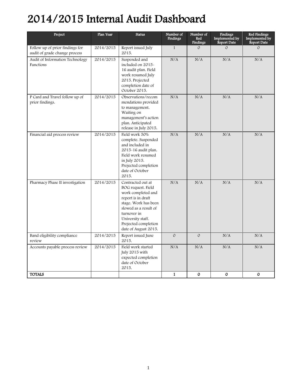# 2014/2015 Internal Audit Dashboard

<span id="page-2-0"></span>

| Project                                                          | Plan Year | <b>Status</b>                                                                                                                                                                                                            | Number of<br><b>Findings</b> | Number of<br>Red<br><b>Findings</b> | Findings<br>Implemented by<br>Report Date | Red Findings<br>Implemented by<br>Report Date |
|------------------------------------------------------------------|-----------|--------------------------------------------------------------------------------------------------------------------------------------------------------------------------------------------------------------------------|------------------------------|-------------------------------------|-------------------------------------------|-----------------------------------------------|
| Follow up of prior findings for<br>audit of grade change process | 2014/2015 | Report issued July<br>2015.                                                                                                                                                                                              | $\mathbf{1}$                 | $\mathcal{O}$                       | $\mathcal{O}$                             | $\mathcal{O}$                                 |
| Audit of Information Technology<br>Functions                     | 2014/2015 | Suspended and<br>included on 2015-<br>16 audit plan. Field<br>work resumed July<br>2015. Projected<br>completion date of<br>October 2015.                                                                                | N/A                          | N/A                                 | N/A                                       | N/A                                           |
| P Card and Travel follow up of<br>prior findings.                | 2014/2015 | Observations/recom<br>mendations provided<br>to management.<br>Waiting on<br>management's action<br>plan. Anticipated<br>release in July 2015.                                                                           | N/A                          | N/A                                 | N/A                                       | N/A                                           |
| Financial aid process review                                     | 2014/2015 | Field work 50%<br>complete. Suspended<br>and included in<br>2015-16 audit plan.<br>Field work resumed<br>in July 2015.<br>Projected completion<br>date of October<br>2015.                                               | N/A                          | N/A                                 | N/A                                       | N/A                                           |
| Pharmacy Phase II investigation                                  | 2014/2015 | Contracted out at<br>BOG request. Field<br>work completed and<br>report is in draft<br>stage. Work has been<br>slowed as a result of<br>turnover in<br>University staff.<br>Projected completion<br>date of August 2015. | N/A                          | N/A                                 | N/A                                       | N/A                                           |
| Band eligibility compliance<br>review                            | 2014/2015 | Report issued June<br>2015.                                                                                                                                                                                              | $\mathcal O$                 | $\mathcal{O}$                       | N/A                                       | N/A                                           |
| Accounts payable process review                                  | 2014/2015 | Field work started<br>July 2015 with<br>expected completion<br>date of October<br>2015.                                                                                                                                  | N/A                          | N/A                                 | N/A                                       | N/A                                           |
| <b>TOTALS</b>                                                    |           |                                                                                                                                                                                                                          | $\mathbf{1}$                 | $\mathbf{O}$                        | $\mathbf{O}$                              | $\mathbf{O}$                                  |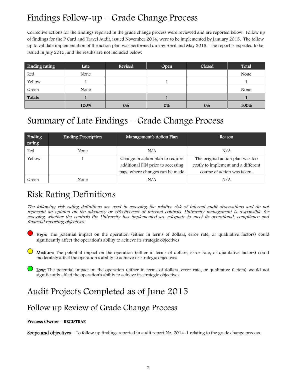## Findings Follow-up – Grade Change Process

Corrective actions for the findings reported in the grade change process were reviewed and are reported below. Follow up of findings for the P Card and Travel Audit, issued November 2014, were to be implemented by January 2015. The follow up to validate implementation of the action plan was performed during April and May 2015. The report is expected to be issued in July 2015, and the results are not included below:

| Finding rating | Late | Revised | Open | Closed | Total |
|----------------|------|---------|------|--------|-------|
| Red            | None |         |      |        | None  |
| Yellow         |      |         |      |        |       |
| Green          | None |         |      |        | None  |
| Totals         |      |         |      |        |       |
|                | 100% | 0%      | 0%   | 0%     | 100%  |

٦

## <span id="page-3-0"></span>Summary of Late Findings – Grade Change Process

| <b>Finding</b><br>rating | <b>Finding Description</b> | Management's Action Plan                                                                                | Reason                                                                                                 |
|--------------------------|----------------------------|---------------------------------------------------------------------------------------------------------|--------------------------------------------------------------------------------------------------------|
| Red                      | None                       | N/A                                                                                                     | N/A                                                                                                    |
| Yellow                   |                            | Change in action plan to require<br>additional PIN prior to accessing<br>page where changes can be made | The original action plan was too<br>costly to implement and a different<br>course of action was taken. |
| Green                    | None                       | N/A                                                                                                     | N/A                                                                                                    |

## <span id="page-3-1"></span>Risk Rating Definitions

The following risk rating definitions are used in assessing the relative risk of internal audit observations and do not represent an opinion on the adequacy or effectiveness of internal controls. University management is responsible for assessing whether the controls the University has implemented are adequate to meet its operational, compliance and financial reporting objectives.

- High: The potential impact on the operation (either in terms of dollars, error rate, or qualitative factors) could significantly affect the operation's ability to achieve its strategic objectives
- Medium: The potential impact on the operation (either in terms of dollars, error rate, or qualitative factors) could moderately affect the operation's ability to achieve its strategic objectives
- Low: The potential impact on the operation (either in terms of dollars, error rate, or qualitative factors) would not significantly affect the operation's ability to achieve its strategic objectives

## <span id="page-3-2"></span>Audit Projects Completed as of June 2015

### Follow up Review of Grade Change Process

#### Process Owner – REGISTRAR

Scope and objectives – To follow up findings reported in audit report No. 2014-1 relating to the grade change process.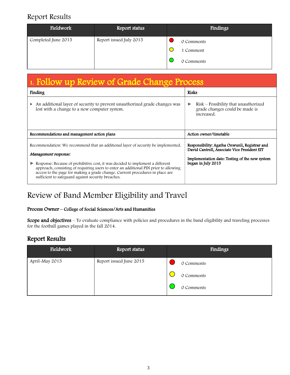## Report Results

| Fieldwork           | Report status           | Findings   |
|---------------------|-------------------------|------------|
| Completed June 2015 | Report issued July 2015 | 0 Comments |
|                     |                         | 1 Comment  |
|                     |                         | 0 Comments |

| 1. Follow up Review of Grade Change Process                                                                                                                                                                                                                                                                                                                                                                                |                                                                                                                                                                       |  |  |
|----------------------------------------------------------------------------------------------------------------------------------------------------------------------------------------------------------------------------------------------------------------------------------------------------------------------------------------------------------------------------------------------------------------------------|-----------------------------------------------------------------------------------------------------------------------------------------------------------------------|--|--|
| Finding                                                                                                                                                                                                                                                                                                                                                                                                                    | <b>Risks</b>                                                                                                                                                          |  |  |
| An additional layer of security to prevent unauthorized grade changes was<br>▶<br>lost with a change to a new computer system.                                                                                                                                                                                                                                                                                             | Risk - Possibility that unauthorized<br>▶<br>grade changes could be made is<br>increased.                                                                             |  |  |
| Recommendations and management action plans                                                                                                                                                                                                                                                                                                                                                                                | Action owner/timetable                                                                                                                                                |  |  |
| Recommendation: We recommend that an additional layer of security be implemented.<br>Management response:<br>Response: Because of prohibitive cost, it was decided to implement a different<br>approach, consisting of requiring users to enter an additional PIN prior to allowing<br>access to the page for making a grade change. Current procedures in place are<br>sufficient to safeguard against security breaches. | Responsibility: Agatha Onwunli, Registrar and<br>David Cantrell, Associate Vice President EIT<br>Implementation date: Testing of the new system<br>began in July 2015 |  |  |

## Review of Band Member Eligibility and Travel

#### Process Owner – College of Social Sciences/Arts and Humanities

Scope and objectives - To evaluate compliance with policies and procedures in the band eligibility and traveling processes for the football games played in the fall 2014.

### Report Results

| Fieldwork      | Report status           | Findings   |
|----------------|-------------------------|------------|
| April-May 2015 | Report issued June 2015 | 0 Comments |
|                |                         | 0 Comments |
|                |                         | 0 Comments |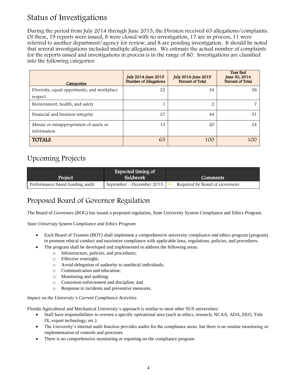## Status of Investigations

During the period from July 2014 through June 2015, the Division received 63 allegations/complaints. Of these, 19 reports were issued, 8 were closed with no investigation, 17 are in process, 11 were referred to another department/agency for review, and 8 are pending investigation. It should be noted that several investigations included multiple allegations. We estimate the actual number of complaints for the reports issued and investigations in process is in the range of 80. Investigations are classified into the following categories:

| Categories                                             | July 2014-June 2015<br><b>Number of Allegations</b> | July 2014-June 2015<br>Percent of Total | Year End<br>June 30, 2014<br>Percent of Total |
|--------------------------------------------------------|-----------------------------------------------------|-----------------------------------------|-----------------------------------------------|
| Diversity, equal opportunity, and workplace<br>respect | 22                                                  | 34                                      | 38                                            |
| Environment, health, and safety                        |                                                     | 2                                       |                                               |
| Financial and business integrity                       | 27                                                  | 44                                      | 31                                            |
| Misuse or misappropriation of assets or<br>information | 13                                                  | 20                                      | 24                                            |
| <b>TOTALS</b>                                          | 63                                                  | 100                                     | 100                                           |

### Upcoming Projects

| Project                         | Expected timing of<br>fieldwork | <b>Comments</b>                |
|---------------------------------|---------------------------------|--------------------------------|
| Performance based funding audit | September – December 2015       | Required by Board of Governors |

## Proposed Board of Governor Regulation

The Board of Governors (BOG) has issued a proposed regulation, State University System Compliance and Ethics Program.

#### *State University System Compliance and Ethics Program*

- Each Board of Trustees (BOT) shall implement a comprehensive university compliance and ethics program (program) to promote ethical conduct and maximize compliance with applicable laws, regulations, policies, and procedures.
	- The program shall be developed and implemented to address the following areas:
		- o Infrastructure, policies, and procedures;
		- o Effective oversight;
		- o Avoid delegation of authority to unethical individuals;
		- o Communication and education;
		- o Monitoring and auditing;
		- o Consistent enforcement and discipline; and
		- o Response to incidents and preventive measures.

#### *Impact on the University's Current Compliance Activities*

Florida Agricultural and Mechanical University's approach is similar to most other SUS universities:

- Staff have responsibilities to oversee a specific operational area (such as ethics, research, NCAA, ADA, EEO, Title IX, export technology, etc.)
- The University's internal audit function provides audits for the compliance areas, but there is no routine monitoring or implementation of controls and processes
- There is no comprehensive monitoring or reporting on the compliance program